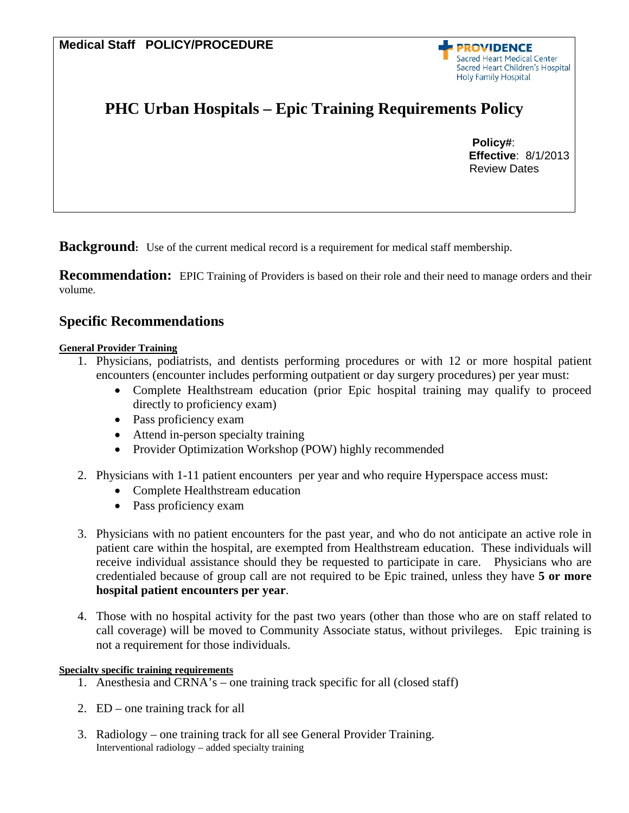**PROVIDENCE** Sacred Heart Medical Center **Sacred Heart Children's Hospital Holy Family Hospital** 

# **PHC Urban Hospitals – Epic Training Requirements Policy**

 **Policy#**: **Effective**: 8/1/2013 Review Dates

**Background:** Use of the current medical record is a requirement for medical staff membership.

**Recommendation:** EPIC Training of Providers is based on their role and their need to manage orders and their volume.

# **Specific Recommendations**

## **General Provider Training**

- 1. Physicians, podiatrists, and dentists performing procedures or with 12 or more hospital patient encounters (encounter includes performing outpatient or day surgery procedures) per year must:
	- Complete Healthstream education (prior Epic hospital training may qualify to proceed directly to proficiency exam)
	- Pass proficiency exam
	- Attend in-person specialty training
	- Provider Optimization Workshop (POW) highly recommended
- 2. Physicians with 1-11 patient encounters per year and who require Hyperspace access must:
	- Complete Healthstream education
	- Pass proficiency exam
- 3. Physicians with no patient encounters for the past year, and who do not anticipate an active role in patient care within the hospital, are exempted from Healthstream education. These individuals will receive individual assistance should they be requested to participate in care. Physicians who are credentialed because of group call are not required to be Epic trained, unless they have **5 or more hospital patient encounters per year**.
- 4. Those with no hospital activity for the past two years (other than those who are on staff related to call coverage) will be moved to Community Associate status, without privileges. Epic training is not a requirement for those individuals.

#### **Specialty specific training requirements**

- 1. Anesthesia and CRNA's one training track specific for all (closed staff)
- 2. ED one training track for all
- 3. Radiology one training track for all see General Provider Training. Interventional radiology – added specialty training